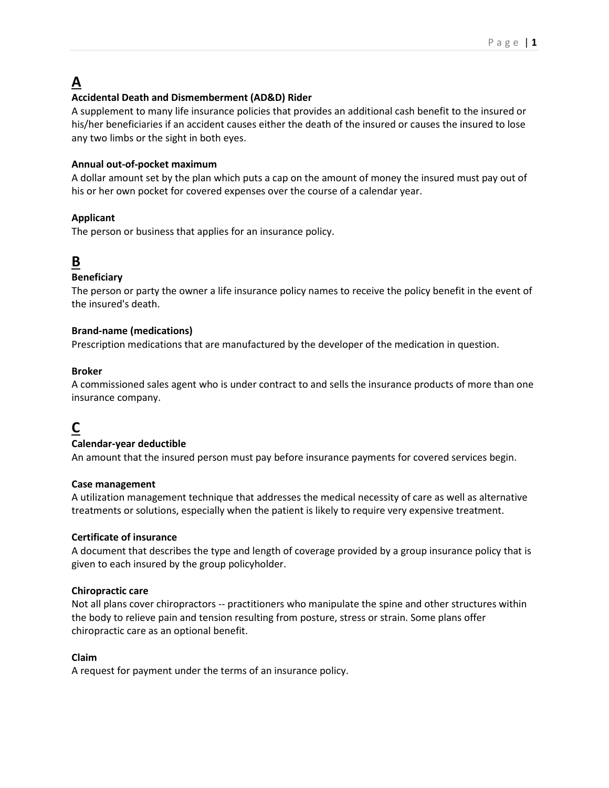# **A**

# **Accidental Death and Dismemberment (AD&D) Rider**

A supplement to many life insurance policies that provides an additional cash benefit to the insured or his/her beneficiaries if an accident causes either the death of the insured or causes the insured to lose any two limbs or the sight in both eyes.

### **Annual out-of-pocket maximum**

A dollar amount set by the plan which puts a cap on the amount of money the insured must pay out of his or her own pocket for covered expenses over the course of a calendar year.

## **Applicant**

The person or business that applies for an insurance policy.

# **B**

## **Beneficiary**

The person or party the owner a life insurance policy names to receive the policy benefit in the event of the insured's death.

### **Brand-name (medications)**

Prescription medications that are manufactured by the developer of the medication in question.

### **Broker**

A commissioned sales agent who is under contract to and sells the insurance products of more than one insurance company.

# **C**

### **Calendar-year deductible**

An amount that the insured person must pay before insurance payments for covered services begin.

### **Case management**

A utilization management technique that addresses the medical necessity of care as well as alternative treatments or solutions, especially when the patient is likely to require very expensive treatment.

### **Certificate of insurance**

A document that describes the type and length of coverage provided by a group insurance policy that is given to each insured by the group policyholder.

### **Chiropractic care**

Not all plans cover chiropractors -- practitioners who manipulate the spine and other structures within the body to relieve pain and tension resulting from posture, stress or strain. Some plans offer chiropractic care as an optional benefit.

### **Claim**

A request for payment under the terms of an insurance policy.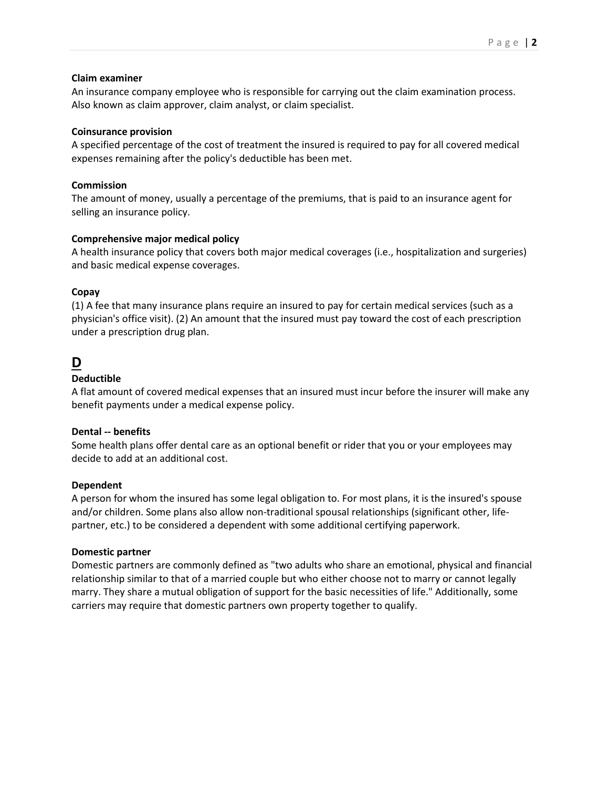#### **Claim examiner**

An insurance company employee who is responsible for carrying out the claim examination process. Also known as claim approver, claim analyst, or claim specialist.

#### **Coinsurance provision**

A specified percentage of the cost of treatment the insured is required to pay for all covered medical expenses remaining after the policy's deductible has been met.

#### **Commission**

The amount of money, usually a percentage of the premiums, that is paid to an insurance agent for selling an insurance policy.

### **Comprehensive major medical policy**

A health insurance policy that covers both major medical coverages (i.e., hospitalization and surgeries) and basic medical expense coverages.

### **Copay**

(1) A fee that many insurance plans require an insured to pay for certain medical services (such as a physician's office visit). (2) An amount that the insured must pay toward the cost of each prescription under a prescription drug plan.

# **D**

#### **Deductible**

A flat amount of covered medical expenses that an insured must incur before the insurer will make any benefit payments under a medical expense policy.

#### **Dental -- benefits**

Some health plans offer dental care as an optional benefit or rider that you or your employees may decide to add at an additional cost.

### **Dependent**

A person for whom the insured has some legal obligation to. For most plans, it is the insured's spouse and/or children. Some plans also allow non-traditional spousal relationships (significant other, lifepartner, etc.) to be considered a dependent with some additional certifying paperwork.

#### **Domestic partner**

Domestic partners are commonly defined as "two adults who share an emotional, physical and financial relationship similar to that of a married couple but who either choose not to marry or cannot legally marry. They share a mutual obligation of support for the basic necessities of life." Additionally, some carriers may require that domestic partners own property together to qualify.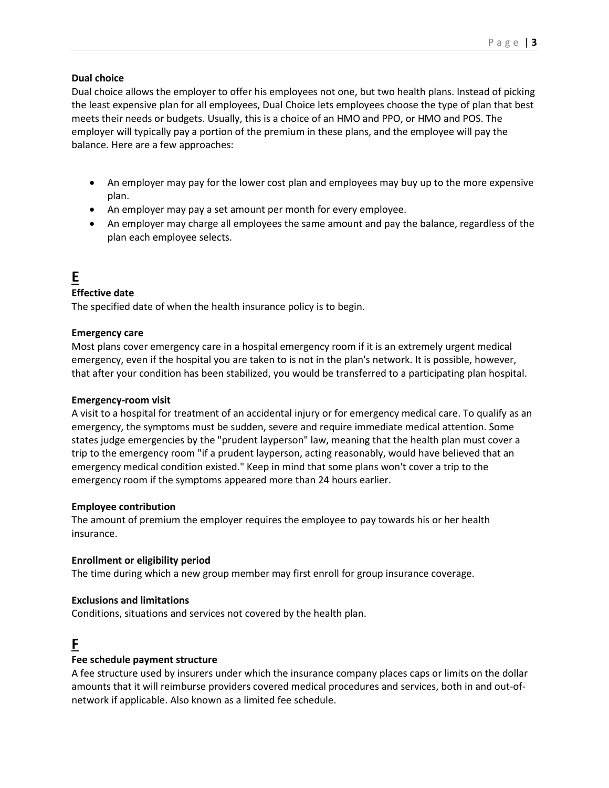#### **Dual choice**

Dual choice allows the employer to offer his employees not one, but two health plans. Instead of picking the least expensive plan for all employees, Dual Choice lets employees choose the type of plan that best meets their needs or budgets. Usually, this is a choice of an HMO and PPO, or HMO and POS. The employer will typically pay a portion of the premium in these plans, and the employee will pay the balance. Here are a few approaches:

- An employer may pay for the lower cost plan and employees may buy up to the more expensive plan.
- An employer may pay a set amount per month for every employee.
- An employer may charge all employees the same amount and pay the balance, regardless of the plan each employee selects.

# **E**

### **Effective date**

The specified date of when the health insurance policy is to begin.

### **Emergency care**

Most plans cover emergency care in a hospital emergency room if it is an extremely urgent medical emergency, even if the hospital you are taken to is not in the plan's network. It is possible, however, that after your condition has been stabilized, you would be transferred to a participating plan hospital.

#### **Emergency-room visit**

A visit to a hospital for treatment of an accidental injury or for emergency medical care. To qualify as an emergency, the symptoms must be sudden, severe and require immediate medical attention. Some states judge emergencies by the "prudent layperson" law, meaning that the health plan must cover a trip to the emergency room "if a prudent layperson, acting reasonably, would have believed that an emergency medical condition existed." Keep in mind that some plans won't cover a trip to the emergency room if the symptoms appeared more than 24 hours earlier.

### **Employee contribution**

The amount of premium the employer requires the employee to pay towards his or her health insurance.

### **Enrollment or eligibility period**

The time during which a new group member may first enroll for group insurance coverage.

#### **Exclusions and limitations**

Conditions, situations and services not covered by the health plan.

# **F**

### **Fee schedule payment structure**

A fee structure used by insurers under which the insurance company places caps or limits on the dollar amounts that it will reimburse providers covered medical procedures and services, both in and out-ofnetwork if applicable. Also known as a limited fee schedule.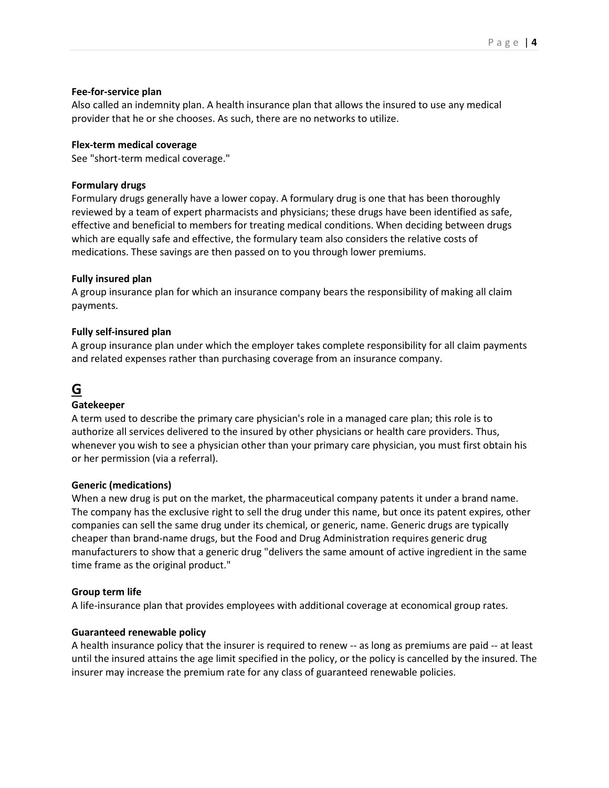#### **Fee-for-service plan**

Also called an indemnity plan. A health insurance plan that allows the insured to use any medical provider that he or she chooses. As such, there are no networks to utilize.

#### **Flex-term medical coverage**

See "short-term medical coverage."

#### **Formulary drugs**

Formulary drugs generally have a lower copay. A formulary drug is one that has been thoroughly reviewed by a team of expert pharmacists and physicians; these drugs have been identified as safe, effective and beneficial to members for treating medical conditions. When deciding between drugs which are equally safe and effective, the formulary team also considers the relative costs of medications. These savings are then passed on to you through lower premiums.

#### **Fully insured plan**

A group insurance plan for which an insurance company bears the responsibility of making all claim payments.

#### **Fully self-insured plan**

A group insurance plan under which the employer takes complete responsibility for all claim payments and related expenses rather than purchasing coverage from an insurance company.

# **G**

### **Gatekeeper**

A term used to describe the primary care physician's role in a managed care plan; this role is to authorize all services delivered to the insured by other physicians or health care providers. Thus, whenever you wish to see a physician other than your primary care physician, you must first obtain his or her permission (via a referral).

#### **Generic (medications)**

When a new drug is put on the market, the pharmaceutical company patents it under a brand name. The company has the exclusive right to sell the drug under this name, but once its patent expires, other companies can sell the same drug under its chemical, or generic, name. Generic drugs are typically cheaper than brand-name drugs, but the Food and Drug Administration requires generic drug manufacturers to show that a generic drug "delivers the same amount of active ingredient in the same time frame as the original product."

### **Group term life**

A life-insurance plan that provides employees with additional coverage at economical group rates.

### **Guaranteed renewable policy**

A health insurance policy that the insurer is required to renew -- as long as premiums are paid -- at least until the insured attains the age limit specified in the policy, or the policy is cancelled by the insured. The insurer may increase the premium rate for any class of guaranteed renewable policies.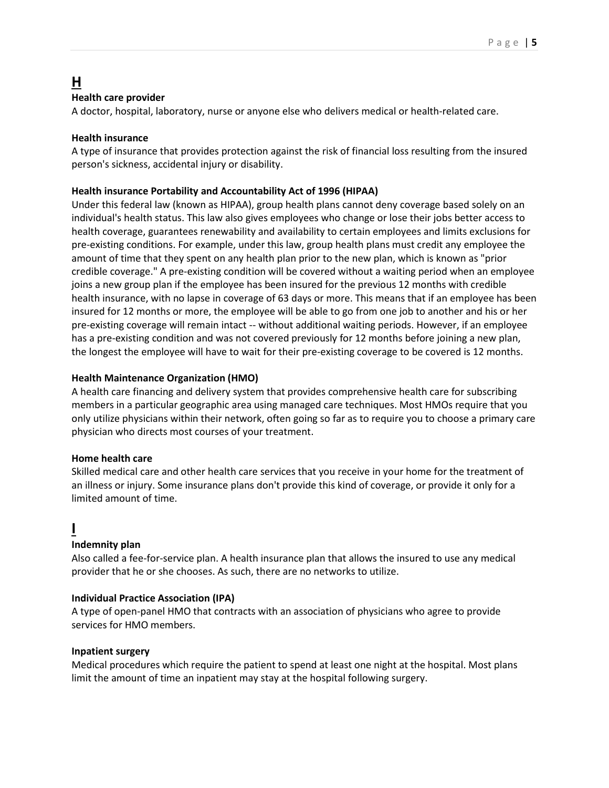# **H**

### **Health care provider**

A doctor, hospital, laboratory, nurse or anyone else who delivers medical or health-related care.

#### **Health insurance**

A type of insurance that provides protection against the risk of financial loss resulting from the insured person's sickness, accidental injury or disability.

#### **Health insurance Portability and Accountability Act of 1996 (HIPAA)**

Under this federal law (known as HIPAA), group health plans cannot deny coverage based solely on an individual's health status. This law also gives employees who change or lose their jobs better access to health coverage, guarantees renewability and availability to certain employees and limits exclusions for pre-existing conditions. For example, under this law, group health plans must credit any employee the amount of time that they spent on any health plan prior to the new plan, which is known as "prior credible coverage." A pre-existing condition will be covered without a waiting period when an employee joins a new group plan if the employee has been insured for the previous 12 months with credible health insurance, with no lapse in coverage of 63 days or more. This means that if an employee has been insured for 12 months or more, the employee will be able to go from one job to another and his or her pre-existing coverage will remain intact -- without additional waiting periods. However, if an employee has a pre-existing condition and was not covered previously for 12 months before joining a new plan, the longest the employee will have to wait for their pre-existing coverage to be covered is 12 months.

#### **Health Maintenance Organization (HMO)**

A health care financing and delivery system that provides comprehensive health care for subscribing members in a particular geographic area using managed care techniques. Most HMOs require that you only utilize physicians within their network, often going so far as to require you to choose a primary care physician who directs most courses of your treatment.

#### **Home health care**

Skilled medical care and other health care services that you receive in your home for the treatment of an illness or injury. Some insurance plans don't provide this kind of coverage, or provide it only for a limited amount of time.

# **I**

### **Indemnity plan**

Also called a fee-for-service plan. A health insurance plan that allows the insured to use any medical provider that he or she chooses. As such, there are no networks to utilize.

### **Individual Practice Association (IPA)**

A type of open-panel HMO that contracts with an association of physicians who agree to provide services for HMO members.

#### **Inpatient surgery**

Medical procedures which require the patient to spend at least one night at the hospital. Most plans limit the amount of time an inpatient may stay at the hospital following surgery.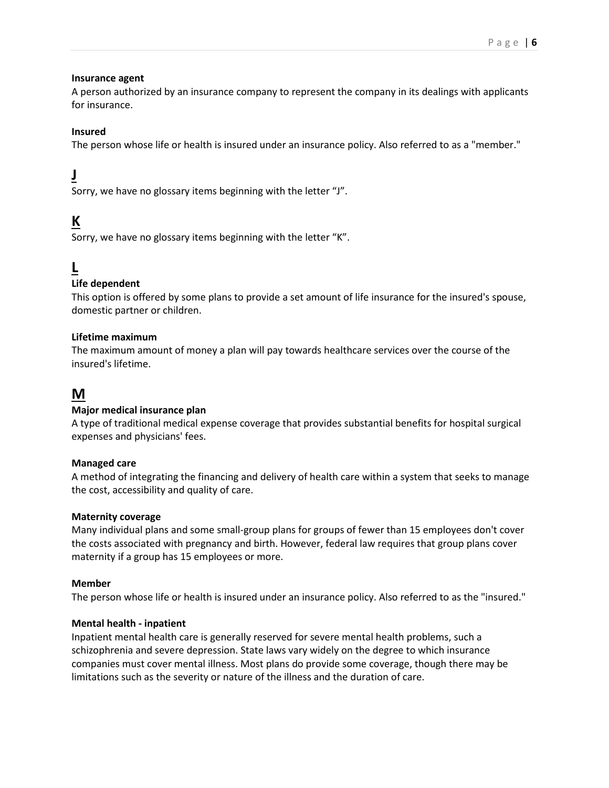#### **Insurance agent**

A person authorized by an insurance company to represent the company in its dealings with applicants for insurance.

## **Insured**

The person whose life or health is insured under an insurance policy. Also referred to as a "member."

# **J**

Sorry, we have no glossary items beginning with the letter "J".

# **K**

Sorry, we have no glossary items beginning with the letter "K".

# **L**

## **Life dependent**

This option is offered by some plans to provide a set amount of life insurance for the insured's spouse, domestic partner or children.

### **Lifetime maximum**

The maximum amount of money a plan will pay towards healthcare services over the course of the insured's lifetime.

# **M**

### **Major medical insurance plan**

A type of traditional medical expense coverage that provides substantial benefits for hospital surgical expenses and physicians' fees.

### **Managed care**

A method of integrating the financing and delivery of health care within a system that seeks to manage the cost, accessibility and quality of care.

### **Maternity coverage**

Many individual plans and some small-group plans for groups of fewer than 15 employees don't cover the costs associated with pregnancy and birth. However, federal law requires that group plans cover maternity if a group has 15 employees or more.

### **Member**

The person whose life or health is insured under an insurance policy. Also referred to as the "insured."

### **Mental health - inpatient**

Inpatient mental health care is generally reserved for severe mental health problems, such a schizophrenia and severe depression. State laws vary widely on the degree to which insurance companies must cover mental illness. Most plans do provide some coverage, though there may be limitations such as the severity or nature of the illness and the duration of care.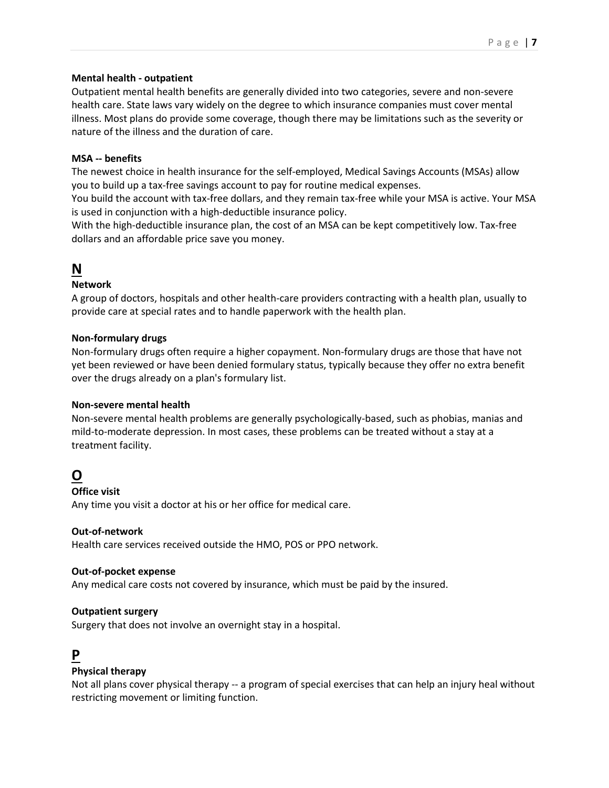### **Mental health - outpatient**

Outpatient mental health benefits are generally divided into two categories, severe and non-severe health care. State laws vary widely on the degree to which insurance companies must cover mental illness. Most plans do provide some coverage, though there may be limitations such as the severity or nature of the illness and the duration of care.

# **MSA -- benefits**

The newest choice in health insurance for the self-employed, Medical Savings Accounts (MSAs) allow you to build up a tax-free savings account to pay for routine medical expenses.

You build the account with tax-free dollars, and they remain tax-free while your MSA is active. Your MSA is used in conjunction with a high-deductible insurance policy.

With the high-deductible insurance plan, the cost of an MSA can be kept competitively low. Tax-free dollars and an affordable price save you money.

# **N**

# **Network**

A group of doctors, hospitals and other health-care providers contracting with a health plan, usually to provide care at special rates and to handle paperwork with the health plan.

## **Non-formulary drugs**

Non-formulary drugs often require a higher copayment. Non-formulary drugs are those that have not yet been reviewed or have been denied formulary status, typically because they offer no extra benefit over the drugs already on a plan's formulary list.

### **Non-severe mental health**

Non-severe mental health problems are generally psychologically-based, such as phobias, manias and mild-to-moderate depression. In most cases, these problems can be treated without a stay at a treatment facility.

# **O**

### **Office visit**

Any time you visit a doctor at his or her office for medical care.

### **Out-of-network**

Health care services received outside the HMO, POS or PPO network.

### **Out-of-pocket expense**

Any medical care costs not covered by insurance, which must be paid by the insured.

### **Outpatient surgery**

Surgery that does not involve an overnight stay in a hospital.

# **P**

### **Physical therapy**

Not all plans cover physical therapy -- a program of special exercises that can help an injury heal without restricting movement or limiting function.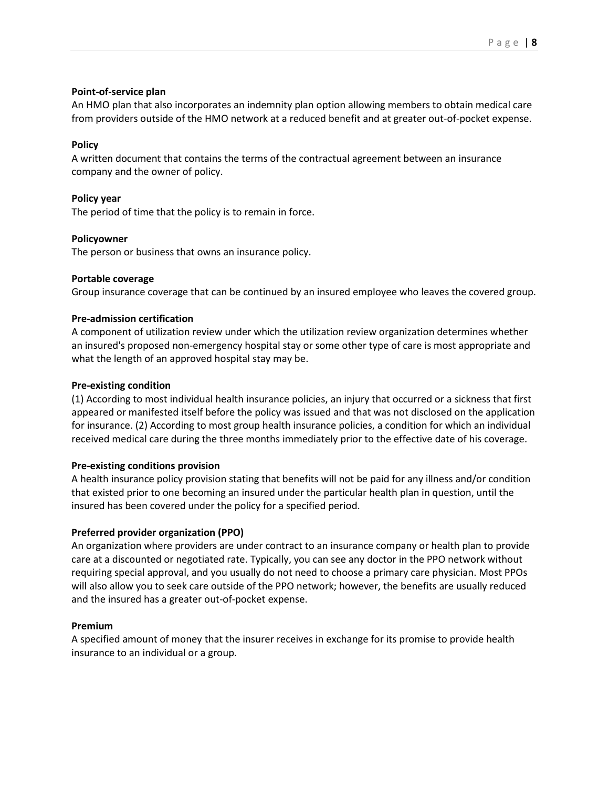#### **Point-of-service plan**

An HMO plan that also incorporates an indemnity plan option allowing members to obtain medical care from providers outside of the HMO network at a reduced benefit and at greater out-of-pocket expense.

### **Policy**

A written document that contains the terms of the contractual agreement between an insurance company and the owner of policy.

#### **Policy year**

The period of time that the policy is to remain in force.

#### **Policyowner**

The person or business that owns an insurance policy.

#### **Portable coverage**

Group insurance coverage that can be continued by an insured employee who leaves the covered group.

#### **Pre-admission certification**

A component of utilization review under which the utilization review organization determines whether an insured's proposed non-emergency hospital stay or some other type of care is most appropriate and what the length of an approved hospital stay may be.

#### **Pre-existing condition**

(1) According to most individual health insurance policies, an injury that occurred or a sickness that first appeared or manifested itself before the policy was issued and that was not disclosed on the application for insurance. (2) According to most group health insurance policies, a condition for which an individual received medical care during the three months immediately prior to the effective date of his coverage.

### **Pre-existing conditions provision**

A health insurance policy provision stating that benefits will not be paid for any illness and/or condition that existed prior to one becoming an insured under the particular health plan in question, until the insured has been covered under the policy for a specified period.

### **Preferred provider organization (PPO)**

An organization where providers are under contract to an insurance company or health plan to provide care at a discounted or negotiated rate. Typically, you can see any doctor in the PPO network without requiring special approval, and you usually do not need to choose a primary care physician. Most PPOs will also allow you to seek care outside of the PPO network; however, the benefits are usually reduced and the insured has a greater out-of-pocket expense.

#### **Premium**

A specified amount of money that the insurer receives in exchange for its promise to provide health insurance to an individual or a group.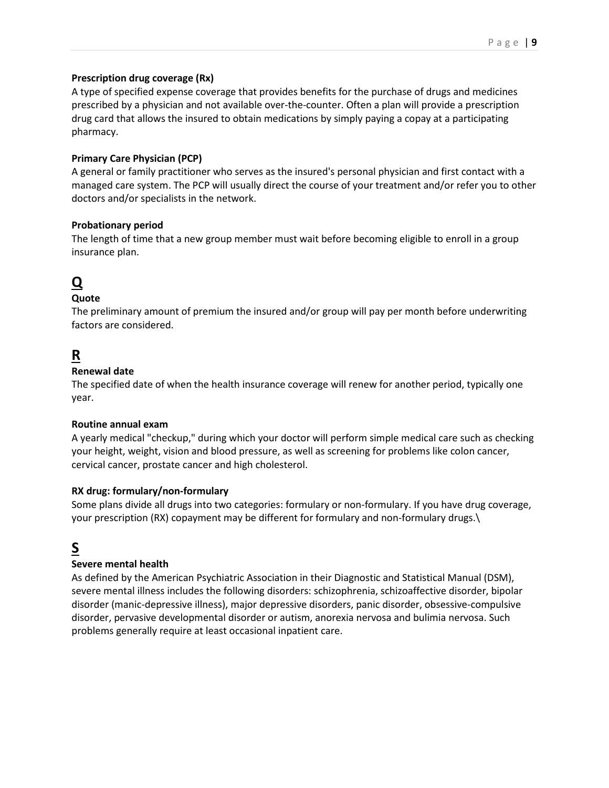### **Prescription drug coverage (Rx)**

A type of specified expense coverage that provides benefits for the purchase of drugs and medicines prescribed by a physician and not available over-the-counter. Often a plan will provide a prescription drug card that allows the insured to obtain medications by simply paying a copay at a participating pharmacy.

# **Primary Care Physician (PCP)**

A general or family practitioner who serves as the insured's personal physician and first contact with a managed care system. The PCP will usually direct the course of your treatment and/or refer you to other doctors and/or specialists in the network.

## **Probationary period**

The length of time that a new group member must wait before becoming eligible to enroll in a group insurance plan.

# **Q**

# **Quote**

The preliminary amount of premium the insured and/or group will pay per month before underwriting factors are considered.

# **R**

## **Renewal date**

The specified date of when the health insurance coverage will renew for another period, typically one year.

### **Routine annual exam**

A yearly medical "checkup," during which your doctor will perform simple medical care such as checking your height, weight, vision and blood pressure, as well as screening for problems like colon cancer, cervical cancer, prostate cancer and high cholesterol.

### **RX drug: formulary/non-formulary**

Some plans divide all drugs into two categories: formulary or non-formulary. If you have drug coverage, your prescription (RX) copayment may be different for formulary and non-formulary drugs.\

# **S**

# **Severe mental health**

As defined by the American Psychiatric Association in their Diagnostic and Statistical Manual (DSM), severe mental illness includes the following disorders: schizophrenia, schizoaffective disorder, bipolar disorder (manic-depressive illness), major depressive disorders, panic disorder, obsessive-compulsive disorder, pervasive developmental disorder or autism, anorexia nervosa and bulimia nervosa. Such problems generally require at least occasional inpatient care.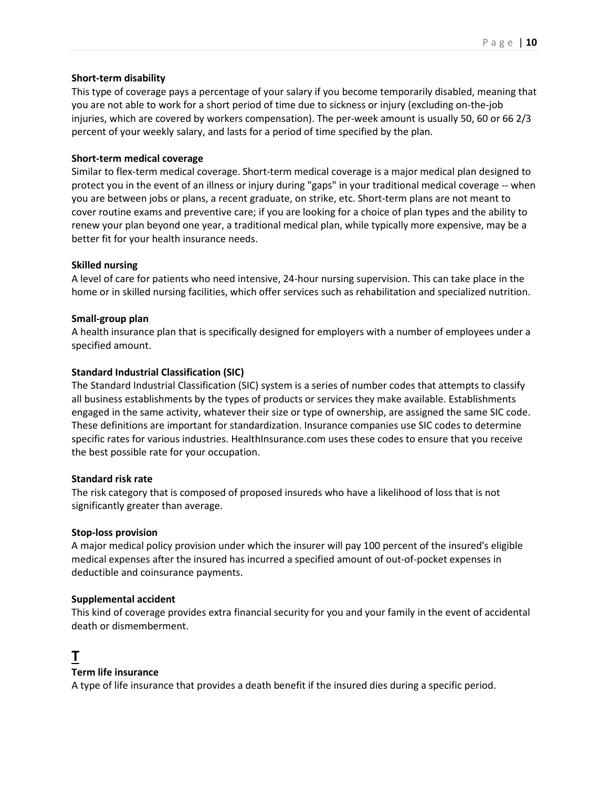### **Short-term disability**

This type of coverage pays a percentage of your salary if you become temporarily disabled, meaning that you are not able to work for a short period of time due to sickness or injury (excluding on-the-job injuries, which are covered by workers compensation). The per-week amount is usually 50, 60 or 66 2/3 percent of your weekly salary, and lasts for a period of time specified by the plan.

#### **Short-term medical coverage**

Similar to flex-term medical coverage. Short-term medical coverage is a major medical plan designed to protect you in the event of an illness or injury during "gaps" in your traditional medical coverage -- when you are between jobs or plans, a recent graduate, on strike, etc. Short-term plans are not meant to cover routine exams and preventive care; if you are looking for a choice of plan types and the ability to renew your plan beyond one year, a traditional medical plan, while typically more expensive, may be a better fit for your health insurance needs.

#### **Skilled nursing**

A level of care for patients who need intensive, 24-hour nursing supervision. This can take place in the home or in skilled nursing facilities, which offer services such as rehabilitation and specialized nutrition.

#### **Small-group plan**

A health insurance plan that is specifically designed for employers with a number of employees under a specified amount.

#### **Standard Industrial Classification (SIC)**

The Standard Industrial Classification (SIC) system is a series of number codes that attempts to classify all business establishments by the types of products or services they make available. Establishments engaged in the same activity, whatever their size or type of ownership, are assigned the same SIC code. These definitions are important for standardization. Insurance companies use SIC codes to determine specific rates for various industries. HealthInsurance.com uses these codes to ensure that you receive the best possible rate for your occupation.

#### **Standard risk rate**

The risk category that is composed of proposed insureds who have a likelihood of loss that is not significantly greater than average.

#### **Stop-loss provision**

A major medical policy provision under which the insurer will pay 100 percent of the insured's eligible medical expenses after the insured has incurred a specified amount of out-of-pocket expenses in deductible and coinsurance payments.

#### **Supplemental accident**

This kind of coverage provides extra financial security for you and your family in the event of accidental death or dismemberment.

# **T**

### **Term life insurance**

A type of life insurance that provides a death benefit if the insured dies during a specific period.